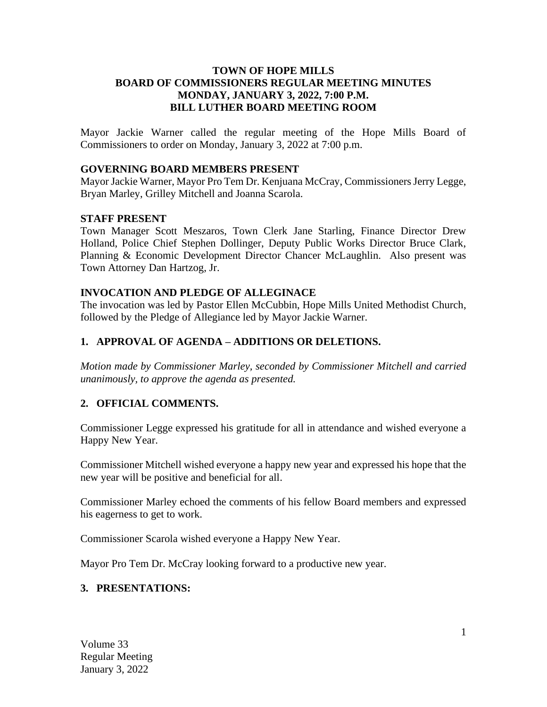### **TOWN OF HOPE MILLS BOARD OF COMMISSIONERS REGULAR MEETING MINUTES MONDAY, JANUARY 3, 2022, 7:00 P.M. BILL LUTHER BOARD MEETING ROOM**

Mayor Jackie Warner called the regular meeting of the Hope Mills Board of Commissioners to order on Monday, January 3, 2022 at 7:00 p.m.

#### **GOVERNING BOARD MEMBERS PRESENT**

Mayor Jackie Warner, Mayor Pro Tem Dr. Kenjuana McCray, Commissioners Jerry Legge, Bryan Marley, Grilley Mitchell and Joanna Scarola.

#### **STAFF PRESENT**

Town Manager Scott Meszaros, Town Clerk Jane Starling, Finance Director Drew Holland, Police Chief Stephen Dollinger, Deputy Public Works Director Bruce Clark, Planning & Economic Development Director Chancer McLaughlin. Also present was Town Attorney Dan Hartzog, Jr.

#### **INVOCATION AND PLEDGE OF ALLEGINACE**

The invocation was led by Pastor Ellen McCubbin, Hope Mills United Methodist Church, followed by the Pledge of Allegiance led by Mayor Jackie Warner.

#### **1. APPROVAL OF AGENDA – ADDITIONS OR DELETIONS.**

*Motion made by Commissioner Marley, seconded by Commissioner Mitchell and carried unanimously, to approve the agenda as presented.*

## **2. OFFICIAL COMMENTS.**

Commissioner Legge expressed his gratitude for all in attendance and wished everyone a Happy New Year.

Commissioner Mitchell wished everyone a happy new year and expressed his hope that the new year will be positive and beneficial for all.

Commissioner Marley echoed the comments of his fellow Board members and expressed his eagerness to get to work.

Commissioner Scarola wished everyone a Happy New Year.

Mayor Pro Tem Dr. McCray looking forward to a productive new year.

#### **3. PRESENTATIONS:**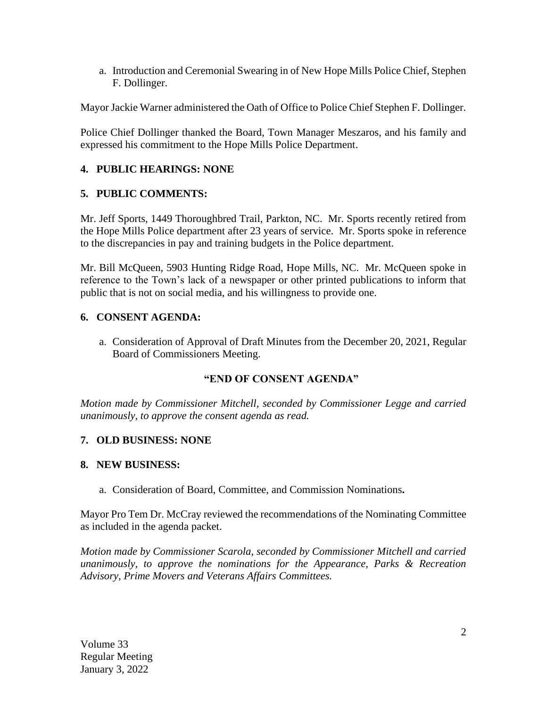a. Introduction and Ceremonial Swearing in of New Hope Mills Police Chief, Stephen F. Dollinger.

Mayor Jackie Warner administered the Oath of Office to Police Chief Stephen F. Dollinger.

Police Chief Dollinger thanked the Board, Town Manager Meszaros, and his family and expressed his commitment to the Hope Mills Police Department.

# **4. PUBLIC HEARINGS: NONE**

# **5. PUBLIC COMMENTS:**

Mr. Jeff Sports, 1449 Thoroughbred Trail, Parkton, NC. Mr. Sports recently retired from the Hope Mills Police department after 23 years of service. Mr. Sports spoke in reference to the discrepancies in pay and training budgets in the Police department.

Mr. Bill McQueen, 5903 Hunting Ridge Road, Hope Mills, NC. Mr. McQueen spoke in reference to the Town's lack of a newspaper or other printed publications to inform that public that is not on social media, and his willingness to provide one.

# **6. CONSENT AGENDA:**

a. Consideration of Approval of Draft Minutes from the December 20, 2021, Regular Board of Commissioners Meeting.

## **"END OF CONSENT AGENDA"**

*Motion made by Commissioner Mitchell, seconded by Commissioner Legge and carried unanimously, to approve the consent agenda as read.*

## **7. OLD BUSINESS: NONE**

## **8. NEW BUSINESS:**

a. Consideration of Board, Committee, and Commission Nominations**.** 

Mayor Pro Tem Dr. McCray reviewed the recommendations of the Nominating Committee as included in the agenda packet.

*Motion made by Commissioner Scarola, seconded by Commissioner Mitchell and carried unanimously, to approve the nominations for the Appearance, Parks & Recreation Advisory, Prime Movers and Veterans Affairs Committees.*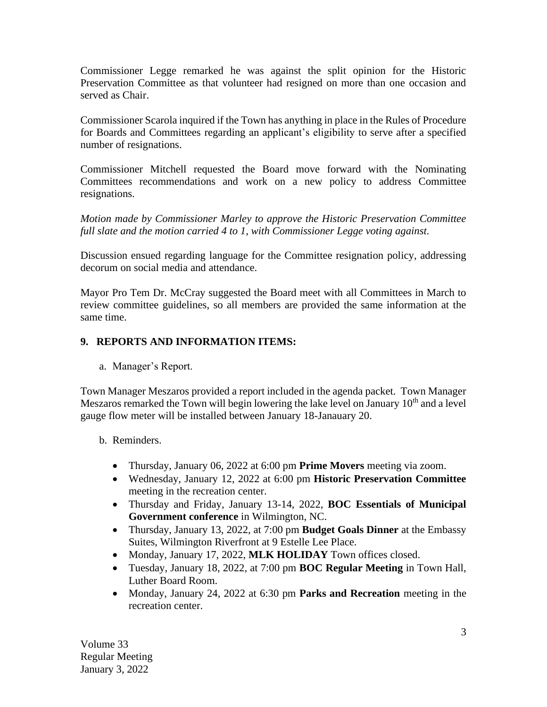Commissioner Legge remarked he was against the split opinion for the Historic Preservation Committee as that volunteer had resigned on more than one occasion and served as Chair.

Commissioner Scarola inquired if the Town has anything in place in the Rules of Procedure for Boards and Committees regarding an applicant's eligibility to serve after a specified number of resignations.

Commissioner Mitchell requested the Board move forward with the Nominating Committees recommendations and work on a new policy to address Committee resignations.

*Motion made by Commissioner Marley to approve the Historic Preservation Committee full slate and the motion carried 4 to 1, with Commissioner Legge voting against.* 

Discussion ensued regarding language for the Committee resignation policy, addressing decorum on social media and attendance.

Mayor Pro Tem Dr. McCray suggested the Board meet with all Committees in March to review committee guidelines, so all members are provided the same information at the same time.

# **9. REPORTS AND INFORMATION ITEMS:**

a. Manager's Report.

Town Manager Meszaros provided a report included in the agenda packet. Town Manager Meszaros remarked the Town will begin lowering the lake level on January  $10<sup>th</sup>$  and a level gauge flow meter will be installed between January 18-Janauary 20.

## b. Reminders.

- Thursday, January 06, 2022 at 6:00 pm **Prime Movers** meeting via zoom.
- Wednesday, January 12, 2022 at 6:00 pm **Historic Preservation Committee** meeting in the recreation center.
- Thursday and Friday, January 13-14, 2022, **BOC Essentials of Municipal Government conference** in Wilmington, NC.
- Thursday, January 13, 2022, at 7:00 pm **Budget Goals Dinner** at the Embassy Suites, Wilmington Riverfront at 9 Estelle Lee Place.
- Monday, January 17, 2022, **MLK HOLIDAY** Town offices closed.
- Tuesday, January 18, 2022, at 7:00 pm **BOC Regular Meeting** in Town Hall, Luther Board Room.
- Monday, January 24, 2022 at 6:30 pm **Parks and Recreation** meeting in the recreation center.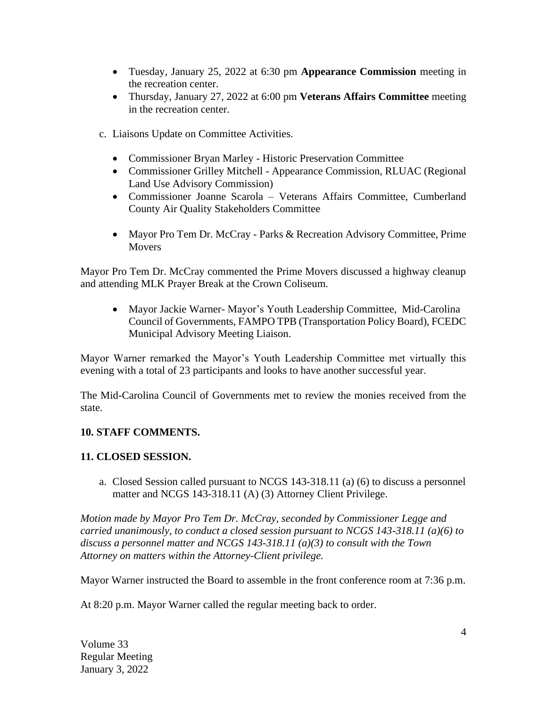- Tuesday, January 25, 2022 at 6:30 pm **Appearance Commission** meeting in the recreation center.
- Thursday, January 27, 2022 at 6:00 pm **Veterans Affairs Committee** meeting in the recreation center.
- c. Liaisons Update on Committee Activities.
	- Commissioner Bryan Marley Historic Preservation Committee
	- Commissioner Grilley Mitchell Appearance Commission, RLUAC (Regional Land Use Advisory Commission)
	- Commissioner Joanne Scarola Veterans Affairs Committee, Cumberland County Air Quality Stakeholders Committee
	- Mayor Pro Tem Dr. McCray Parks & Recreation Advisory Committee, Prime Movers

Mayor Pro Tem Dr. McCray commented the Prime Movers discussed a highway cleanup and attending MLK Prayer Break at the Crown Coliseum.

• Mayor Jackie Warner- Mayor's Youth Leadership Committee, Mid-Carolina Council of Governments, FAMPO TPB (Transportation Policy Board), FCEDC Municipal Advisory Meeting Liaison.

Mayor Warner remarked the Mayor's Youth Leadership Committee met virtually this evening with a total of 23 participants and looks to have another successful year.

The Mid-Carolina Council of Governments met to review the monies received from the state.

# **10. STAFF COMMENTS.**

## **11. CLOSED SESSION.**

a. Closed Session called pursuant to NCGS 143-318.11 (a) (6) to discuss a personnel matter and NCGS 143-318.11 (A) (3) Attorney Client Privilege.

*Motion made by Mayor Pro Tem Dr. McCray, seconded by Commissioner Legge and carried unanimously, to conduct a closed session pursuant to NCGS 143-318.11 (a)(6) to discuss a personnel matter and NCGS 143-318.11 (a)(3) to consult with the Town Attorney on matters within the Attorney-Client privilege.*

Mayor Warner instructed the Board to assemble in the front conference room at 7:36 p.m.

At 8:20 p.m. Mayor Warner called the regular meeting back to order.